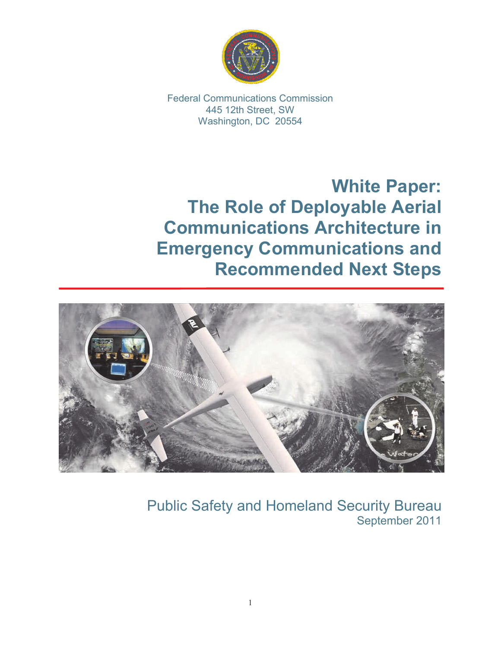

Federal Communications Commission 445 12th Street, SW Washington, DC 20554

**White Paper: The Role of Deployable Aerial Communications Architecture in Emergency Communications and Recommended Next Steps**



Public Safety and Homeland Security Bureau September 2011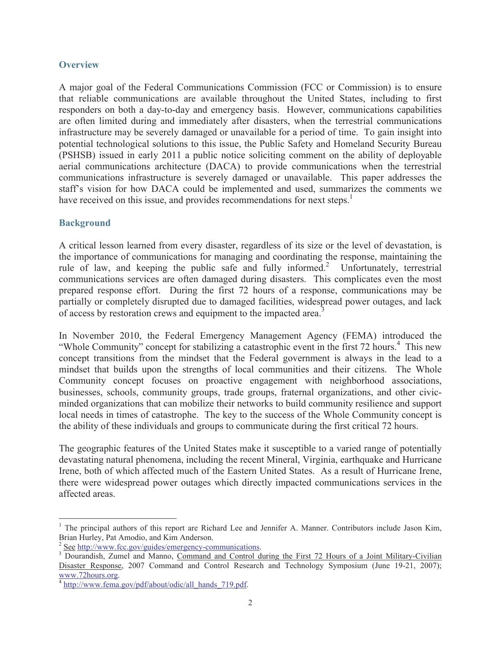### **Overview**

A major goal of the Federal Communications Commission (FCC or Commission) is to ensure that reliable communications are available throughout the United States, including to first responders on both a day-to-day and emergency basis. However, communications capabilities are often limited during and immediately after disasters, when the terrestrial communications infrastructure may be severely damaged or unavailable for a period of time. To gain insight into potential technological solutions to this issue, the Public Safety and Homeland Security Bureau (PSHSB) issued in early 2011 a public notice soliciting comment on the ability of deployable aerial communications architecture (DACA) to provide communications when the terrestrial communications infrastructure is severely damaged or unavailable. This paper addresses the staff's vision for how DACA could be implemented and used, summarizes the comments we have received on this issue, and provides recommendations for next steps.<sup>1</sup>

# **Background**

A critical lesson learned from every disaster, regardless of its size or the level of devastation, is the importance of communications for managing and coordinating the response, maintaining the rule of law, and keeping the public safe and fully informed.<sup>2</sup> Unfortunately, terrestrial communications services are often damaged during disasters. This complicates even the most prepared response effort. During the first 72 hours of a response, communications may be partially or completely disrupted due to damaged facilities, widespread power outages, and lack of access by restoration crews and equipment to the impacted area.<sup>3</sup>

In November 2010, the Federal Emergency Management Agency (FEMA) introduced the "Whole Community" concept for stabilizing a catastrophic event in the first 72 hours.<sup>4</sup> This new concept transitions from the mindset that the Federal government is always in the lead to a mindset that builds upon the strengths of local communities and their citizens. The Whole Community concept focuses on proactive engagement with neighborhood associations, businesses, schools, community groups, trade groups, fraternal organizations, and other civicminded organizations that can mobilize their networks to build community resilience and support local needs in times of catastrophe. The key to the success of the Whole Community concept is the ability of these individuals and groups to communicate during the first critical 72 hours.

The geographic features of the United States make it susceptible to a varied range of potentially devastating natural phenomena, including the recent Mineral, Virginia, earthquake and Hurricane Irene, both of which affected much of the Eastern United States. As a result of Hurricane Irene, there were widespread power outages which directly impacted communications services in the affected areas.

<sup>&</sup>lt;sup>1</sup> The principal authors of this report are Richard Lee and Jennifer A. Manner. Contributors include Jason Kim, Brian Hurley, Pat Amodio, and Kim Anderson.

<sup>2</sup> See http://www.fcc.gov/guides/emergency-communications.

<sup>3</sup> Dourandish, Zumel and Manno, Command and Control during the First 72 Hours of a Joint Military-Civilian Disaster Response, 2007 Command and Control Research and Technology Symposium (June 19-21, 2007); www.72hours.org.

<sup>&</sup>lt;sup>4</sup> http://www.fema.gov/pdf/about/odic/all\_hands\_719.pdf.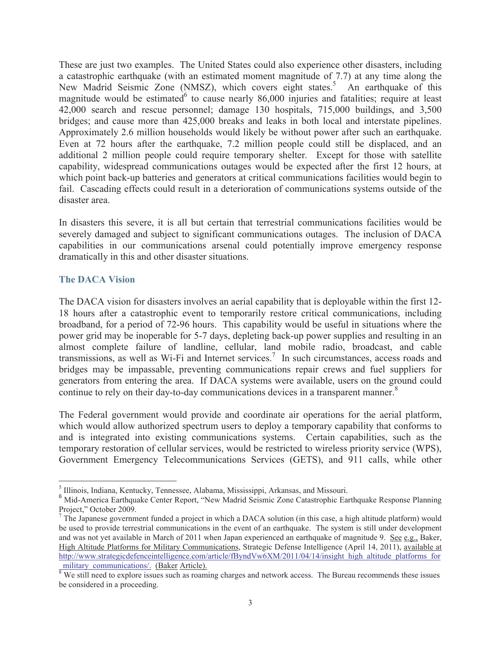These are just two examples. The United States could also experience other disasters, including a catastrophic earthquake (with an estimated moment magnitude of 7.7) at any time along the New Madrid Seismic Zone (NMSZ), which covers eight states.<sup>5</sup> An earthquake of this magnitude would be estimated to cause nearly  $86,000$  injuries and fatalities; require at least 42,000 search and rescue personnel; damage 130 hospitals, 715,000 buildings, and 3,500 bridges; and cause more than 425,000 breaks and leaks in both local and interstate pipelines. Approximately 2.6 million households would likely be without power after such an earthquake. Even at 72 hours after the earthquake, 7.2 million people could still be displaced, and an additional 2 million people could require temporary shelter. Except for those with satellite capability, widespread communications outages would be expected after the first 12 hours, at which point back-up batteries and generators at critical communications facilities would begin to fail. Cascading effects could result in a deterioration of communications systems outside of the disaster area.

In disasters this severe, it is all but certain that terrestrial communications facilities would be severely damaged and subject to significant communications outages. The inclusion of DACA capabilities in our communications arsenal could potentially improve emergency response dramatically in this and other disaster situations.

## **The DACA Vision**

The DACA vision for disasters involves an aerial capability that is deployable within the first 12- 18 hours after a catastrophic event to temporarily restore critical communications, including broadband, for a period of 72-96 hours. This capability would be useful in situations where the power grid may be inoperable for 5-7 days, depleting back-up power supplies and resulting in an almost complete failure of landline, cellular, land mobile radio, broadcast, and cable transmissions, as well as Wi-Fi and Internet services.<sup>7</sup> In such circumstances, access roads and bridges may be impassable, preventing communications repair crews and fuel suppliers for generators from entering the area. If DACA systems were available, users on the ground could continue to rely on their day-to-day communications devices in a transparent manner.<sup>8</sup>

The Federal government would provide and coordinate air operations for the aerial platform, which would allow authorized spectrum users to deploy a temporary capability that conforms to and is integrated into existing communications systems. Certain capabilities, such as the temporary restoration of cellular services, would be restricted to wireless priority service (WPS), Government Emergency Telecommunications Services (GETS), and 911 calls, while other

<sup>&</sup>lt;sup>5</sup> Illinois, Indiana, Kentucky, Tennessee, Alabama, Mississippi, Arkansas, and Missouri.

<sup>&</sup>lt;sup>6</sup> Mid-America Earthquake Center Report, "New Madrid Seismic Zone Catastrophic Earthquake Response Planning Project," October 2009.

<sup>&</sup>lt;sup>7</sup> The Japanese government funded a project in which a DACA solution (in this case, a high altitude platform) would be used to provide terrestrial communications in the event of an earthquake. The system is still under development and was not yet available in March of 2011 when Japan experienced an earthquake of magnitude 9. See e.g., Baker, High Altitude Platforms for Military Communications, Strategic Defense Intelligence (April 14, 2011), available at http://www.strategicdefenceintelligence.com/article/fByndVw6XM/2011/04/14/insight\_high\_altitude\_platforms\_for military\_communications/. (Baker Article).

 $\frac{1}{8}$  We still need to explore issues such as roaming charges and network access. The Bureau recommends these issues be considered in a proceeding.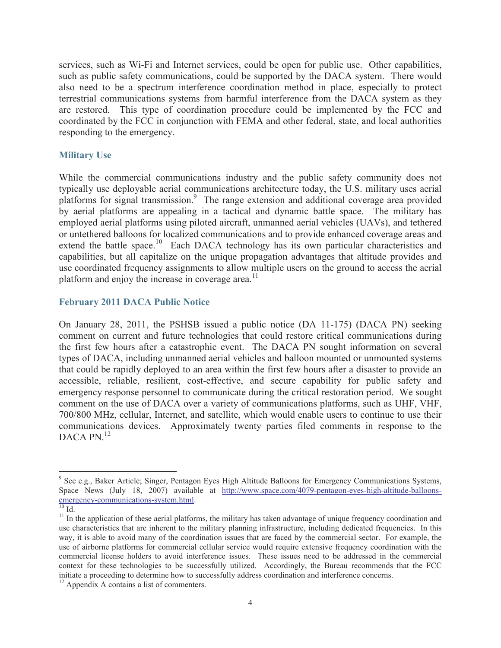services, such as Wi-Fi and Internet services, could be open for public use. Other capabilities, such as public safety communications, could be supported by the DACA system. There would also need to be a spectrum interference coordination method in place, especially to protect terrestrial communications systems from harmful interference from the DACA system as they are restored. This type of coordination procedure could be implemented by the FCC and coordinated by the FCC in conjunction with FEMA and other federal, state, and local authorities responding to the emergency.

### **Military Use**

While the commercial communications industry and the public safety community does not typically use deployable aerial communications architecture today, the U.S. military uses aerial platforms for signal transmission.<sup>9</sup> The range extension and additional coverage area provided by aerial platforms are appealing in a tactical and dynamic battle space. The military has employed aerial platforms using piloted aircraft, unmanned aerial vehicles (UAVs), and tethered or untethered balloons for localized communications and to provide enhanced coverage areas and extend the battle space.<sup>10</sup> Each DACA technology has its own particular characteristics and capabilities, but all capitalize on the unique propagation advantages that altitude provides and use coordinated frequency assignments to allow multiple users on the ground to access the aerial platform and enjoy the increase in coverage area. $^{11}$ 

## **February 2011 DACA Public Notice**

On January 28, 2011, the PSHSB issued a public notice (DA 11-175) (DACA PN) seeking comment on current and future technologies that could restore critical communications during the first few hours after a catastrophic event. The DACA PN sought information on several types of DACA, including unmanned aerial vehicles and balloon mounted or unmounted systems that could be rapidly deployed to an area within the first few hours after a disaster to provide an accessible, reliable, resilient, cost-effective, and secure capability for public safety and emergency response personnel to communicate during the critical restoration period. We sought comment on the use of DACA over a variety of communications platforms, such as UHF, VHF, 700/800 MHz, cellular, Internet, and satellite, which would enable users to continue to use their communications devices. Approximately twenty parties filed comments in response to the DACA PN.<sup>12</sup>

<sup>&</sup>lt;sup>9</sup> See e.g., Baker Article; Singer, Pentagon Eyes High Altitude Balloons for Emergency Communications Systems, Space News (July 18, 2007) available at http://www.space.com/4079-pentagon-eyes-high-altitude-balloonsemergency-communications-system.html.

 $^{10}$  Id.

 $\overline{11}$  In the application of these aerial platforms, the military has taken advantage of unique frequency coordination and use characteristics that are inherent to the military planning infrastructure, including dedicated frequencies. In this way, it is able to avoid many of the coordination issues that are faced by the commercial sector. For example, the use of airborne platforms for commercial cellular service would require extensive frequency coordination with the commercial license holders to avoid interference issues. These issues need to be addressed in the commercial context for these technologies to be successfully utilized. Accordingly, the Bureau recommends that the FCC initiate a proceeding to determine how to successfully address coordination and interference concerns.

 $12$  Appendix A contains a list of commenters.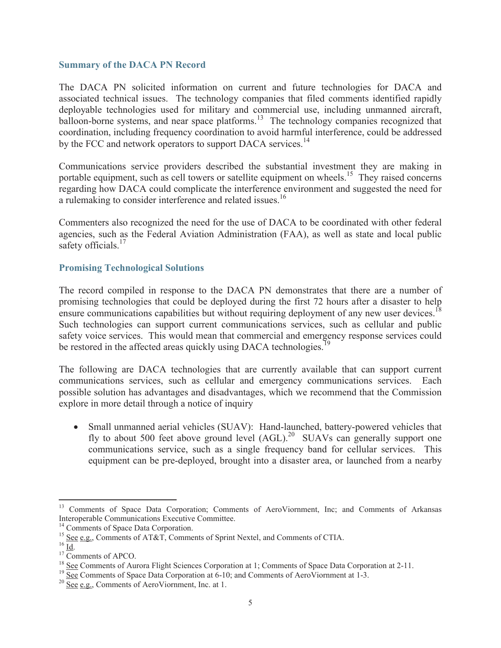#### **Summary of the DACA PN Record**

The DACA PN solicited information on current and future technologies for DACA and associated technical issues. The technology companies that filed comments identified rapidly deployable technologies used for military and commercial use, including unmanned aircraft, balloon-borne systems, and near space platforms.<sup>13</sup> The technology companies recognized that coordination, including frequency coordination to avoid harmful interference, could be addressed by the FCC and network operators to support DACA services.<sup>14</sup>

Communications service providers described the substantial investment they are making in portable equipment, such as cell towers or satellite equipment on wheels.<sup>15</sup> They raised concerns regarding how DACA could complicate the interference environment and suggested the need for a rulemaking to consider interference and related issues.<sup>16</sup>

Commenters also recognized the need for the use of DACA to be coordinated with other federal agencies, such as the Federal Aviation Administration (FAA), as well as state and local public safety officials.<sup>17</sup>

## **Promising Technological Solutions**

The record compiled in response to the DACA PN demonstrates that there are a number of promising technologies that could be deployed during the first 72 hours after a disaster to help ensure communications capabilities but without requiring deployment of any new user devices.<sup>18</sup> Such technologies can support current communications services, such as cellular and public safety voice services. This would mean that commercial and emergency response services could be restored in the affected areas quickly using DACA technologies.<sup>19</sup>

The following are DACA technologies that are currently available that can support current communications services, such as cellular and emergency communications services. Each possible solution has advantages and disadvantages, which we recommend that the Commission explore in more detail through a notice of inquiry

· Small unmanned aerial vehicles (SUAV): Hand-launched, battery-powered vehicles that fly to about 500 feet above ground level  $(AGL)$ <sup>20</sup> SUAVs can generally support one communications service, such as a single frequency band for cellular services. This equipment can be pre-deployed, brought into a disaster area, or launched from a nearby

<sup>&</sup>lt;sup>13</sup> Comments of Space Data Corporation; Comments of AeroViornment, Inc; and Comments of Arkansas Interoperable Communications Executive Committee.

<sup>&</sup>lt;sup>14</sup> Comments of Space Data Corporation.

<sup>15</sup> See e.g., Comments of AT&T, Comments of Sprint Nextel, and Comments of CTIA.

 $16 \overline{Id}$ .

 $17 \overline{\text{Comments of APCO}}$ .

<sup>&</sup>lt;sup>18</sup> See Comments of Aurora Flight Sciences Corporation at 1; Comments of Space Data Corporation at 2-11.

 $19$  See Comments of Space Data Corporation at 6-10; and Comments of AeroViornment at 1-3.

 $20 \overline{See}$  e.g., Comments of AeroViornment, Inc. at 1.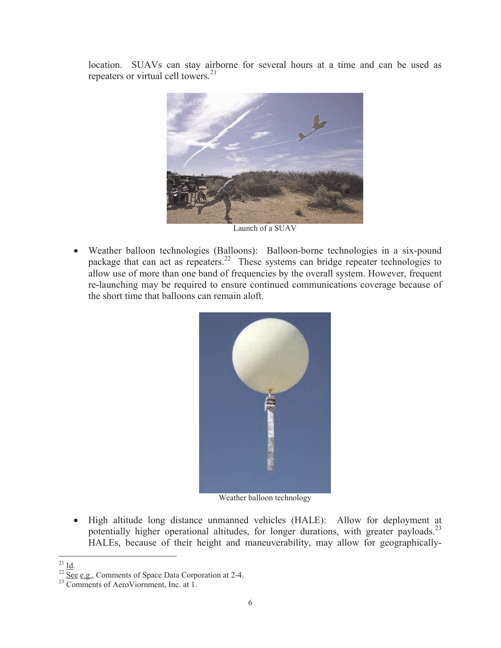location. SUAVs can stay airborne for several hours at a time and can be used as repeaters or virtual cell towers. $21$ 



Launch of a SUAV

· Weather balloon technologies (Balloons): Balloon-borne technologies in a six-pound package that can act as repeaters.<sup>22</sup> These systems can bridge repeater technologies to allow use of more than one band of frequencies by the overall system. However, frequent re-launching may be required to ensure continued communications coverage because of the short time that balloons can remain aloft.



Weather balloon technology

- · High altitude long distance unmanned vehicles (HALE): Allow for deployment at potentially higher operational altitudes, for longer durations, with greater payloads.<sup>23</sup> HALEs, because of their height and maneuverability, may allow for geographically-
- $^{21}$  <u>Id</u>.

 $\frac{22}{22}$  See e.g., Comments of Space Data Corporation at 2-4.

<sup>&</sup>lt;sup>23</sup> Comments of AeroViornment, Inc. at 1.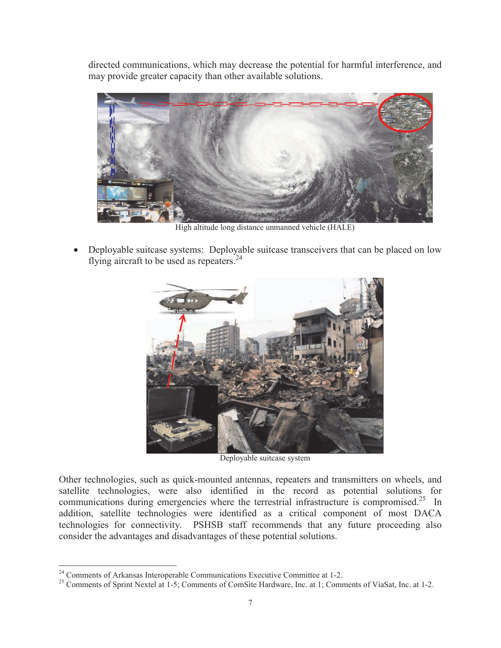directed communications, which may decrease the potential for harmful interference, and may provide greater capacity than other available solutions.



High altitude long distance unmanned vehicle (HALE)

• Deployable suitcase systems: Deployable suitcase transceivers that can be placed on low flying aircraft to be used as repeaters. $24$ 



Deployable suitcase system

Other technologies, such as quick-mounted antennas, repeaters and transmitters on wheels, and satellite technologies, were also identified in the record as potential solutions for communications during emergencies where the terrestrial infrastructure is compromised.<sup>25</sup> In addition, satellite technologies were identified as a critical component of most DACA technologies for connectivity. PSHSB staff recommends that any future proceeding also consider the advantages and disadvantages of these potential solutions.

<sup>&</sup>lt;sup>24</sup> Comments of Arkansas Interoperable Communications Executive Committee at 1-2.

<sup>&</sup>lt;sup>25</sup> Comments of Sprint Nextel at 1-5; Comments of ComSite Hardware, Inc. at 1; Comments of ViaSat, Inc. at 1-2.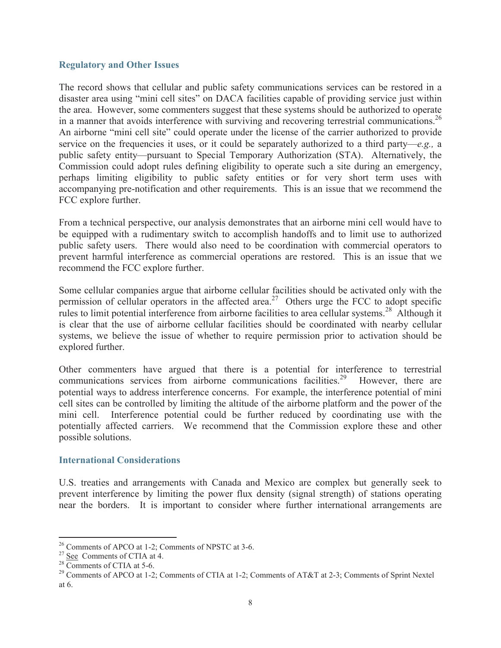#### **Regulatory and Other Issues**

The record shows that cellular and public safety communications services can be restored in a disaster area using "mini cell sites" on DACA facilities capable of providing service just within the area. However, some commenters suggest that these systems should be authorized to operate in a manner that avoids interference with surviving and recovering terrestrial communications.<sup>26</sup> An airborne "mini cell site" could operate under the license of the carrier authorized to provide service on the frequencies it uses, or it could be separately authorized to a third party—*e.g.,* a public safety entity—pursuant to Special Temporary Authorization (STA). Alternatively, the Commission could adopt rules defining eligibility to operate such a site during an emergency, perhaps limiting eligibility to public safety entities or for very short term uses with accompanying pre-notification and other requirements. This is an issue that we recommend the FCC explore further.

From a technical perspective, our analysis demonstrates that an airborne mini cell would have to be equipped with a rudimentary switch to accomplish handoffs and to limit use to authorized public safety users. There would also need to be coordination with commercial operators to prevent harmful interference as commercial operations are restored. This is an issue that we recommend the FCC explore further.

Some cellular companies argue that airborne cellular facilities should be activated only with the permission of cellular operators in the affected area.<sup>27</sup> Others urge the FCC to adopt specific rules to limit potential interference from airborne facilities to area cellular systems.<sup>28</sup> Although it is clear that the use of airborne cellular facilities should be coordinated with nearby cellular systems, we believe the issue of whether to require permission prior to activation should be explored further.

Other commenters have argued that there is a potential for interference to terrestrial communications services from airborne communications facilities.<sup>29</sup> However, there are potential ways to address interference concerns. For example, the interference potential of mini cell sites can be controlled by limiting the altitude of the airborne platform and the power of the mini cell. Interference potential could be further reduced by coordinating use with the potentially affected carriers. We recommend that the Commission explore these and other possible solutions.

#### **International Considerations**

U.S. treaties and arrangements with Canada and Mexico are complex but generally seek to prevent interference by limiting the power flux density (signal strength) of stations operating near the borders. It is important to consider where further international arrangements are

<sup>&</sup>lt;sup>26</sup> Comments of APCO at 1-2; Comments of NPSTC at 3-6.

<sup>&</sup>lt;sup>27</sup> See Comments of CTIA at 4.

<sup>&</sup>lt;sup>28</sup> Comments of CTIA at 5-6.

<sup>&</sup>lt;sup>29</sup> Comments of APCO at 1-2; Comments of CTIA at 1-2; Comments of AT&T at 2-3; Comments of Sprint Nextel at 6.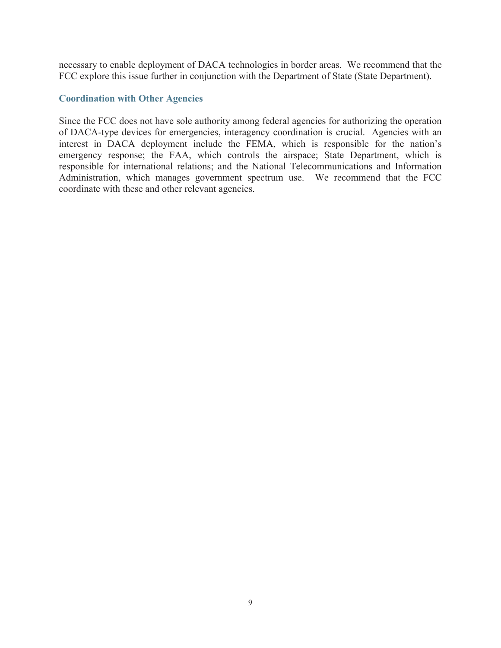necessary to enable deployment of DACA technologies in border areas. We recommend that the FCC explore this issue further in conjunction with the Department of State (State Department).

#### **Coordination with Other Agencies**

Since the FCC does not have sole authority among federal agencies for authorizing the operation of DACA-type devices for emergencies, interagency coordination is crucial. Agencies with an interest in DACA deployment include the FEMA, which is responsible for the nation's emergency response; the FAA, which controls the airspace; State Department, which is responsible for international relations; and the National Telecommunications and Information Administration, which manages government spectrum use. We recommend that the FCC coordinate with these and other relevant agencies.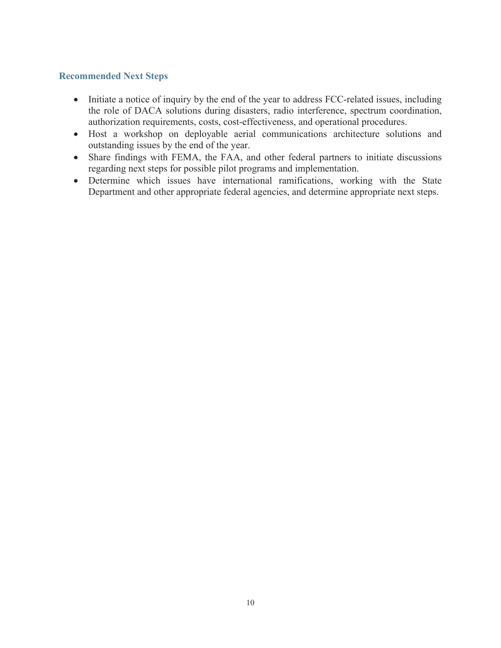# **Recommended Next Steps**

- Initiate a notice of inquiry by the end of the year to address FCC-related issues, including the role of DACA solutions during disasters, radio interference, spectrum coordination, authorization requirements, costs, cost-effectiveness, and operational procedures.
- · Host a workshop on deployable aerial communications architecture solutions and outstanding issues by the end of the year.
- Share findings with FEMA, the FAA, and other federal partners to initiate discussions regarding next steps for possible pilot programs and implementation.
- Determine which issues have international ramifications, working with the State Department and other appropriate federal agencies, and determine appropriate next steps.